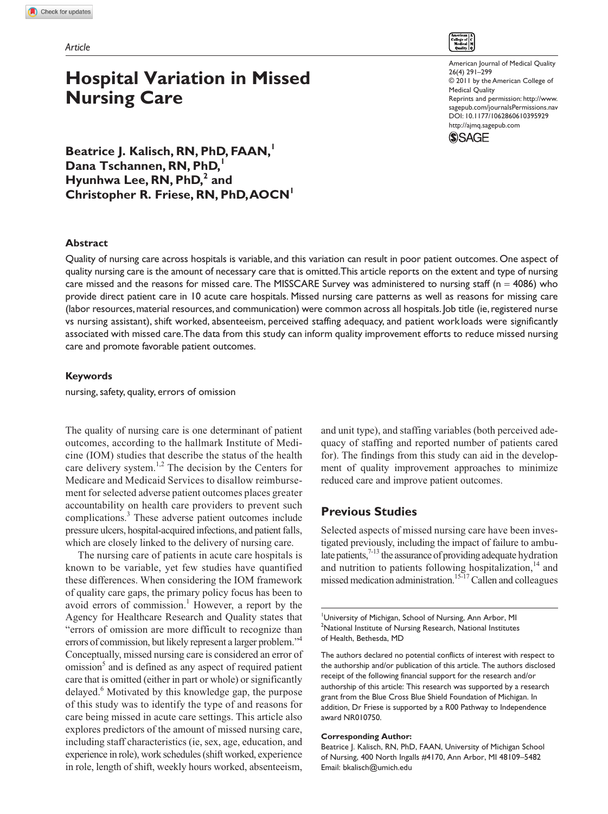# **Hospital Variation in Missed Nursing Care**

American Journal of Medical Quality 26(4) 291–299 © 2011 by the American College of Medical Quality Reprints and permission: http://www. sagepub.com/journalsPermissions.nav DOI: 10.1177/1062860610395929 http://ajmq.sagepub.com



**Beatrice J. Kalisch, RN, PhD, FAAN,<sup>1</sup> Dana Tschannen, RN, PhD,<sup>1</sup> Hyunhwa Lee, RN, PhD,<sup>2</sup> and Christopher R. Friese, RN, PhD, AOCN<sup>1</sup>**

## **Abstract**

Quality of nursing care across hospitals is variable, and this variation can result in poor patient outcomes. One aspect of quality nursing care is the amount of necessary care that is omitted. This article reports on the extent and type of nursing care missed and the reasons for missed care. The MISSCARE Survey was administered to nursing staff ( $n = 4086$ ) who provide direct patient care in 10 acute care hospitals. Missed nursing care patterns as well as reasons for missing care (labor resources, material resources, and communication) were common across all hospitals. Job title (ie, registered nurse vs nursing assistant), shift worked, absenteeism, perceived staffing adequacy, and patient work loads were significantly associated with missed care. The data from this study can inform quality improvement efforts to reduce missed nursing care and promote favorable patient outcomes.

## **Keywords**

nursing, safety, quality, errors of omission

The quality of nursing care is one determinant of patient outcomes, according to the hallmark Institute of Medicine (IOM) studies that describe the status of the health care delivery system.<sup>1,2</sup> The decision by the Centers for Medicare and Medicaid Services to disallow reimbursement for selected adverse patient outcomes places greater accountability on health care providers to prevent such complications.<sup>3</sup> These adverse patient outcomes include pressure ulcers, hospital-acquired infections, and patient falls, which are closely linked to the delivery of nursing care.

The nursing care of patients in acute care hospitals is known to be variable, yet few studies have quantified these differences. When considering the IOM framework of quality care gaps, the primary policy focus has been to avoid errors of commission.<sup>1</sup> However, a report by the Agency for Healthcare Research and Quality states that "errors of omission are more difficult to recognize than errors of commission, but likely represent a larger problem."4 Conceptually, missed nursing care is considered an error of omission<sup>5</sup> and is defined as any aspect of required patient care that is omitted (either in part or whole) or significantly delayed.<sup>6</sup> Motivated by this knowledge gap, the purpose of this study was to identify the type of and reasons for care being missed in acute care settings. This article also explores predictors of the amount of missed nursing care, including staff characteristics (ie, sex, age, education, and experience in role), work schedules (shift worked, experience in role, length of shift, weekly hours worked, absenteeism,

and unit type), and staffing variables (both perceived adequacy of staffing and reported number of patients cared for). The findings from this study can aid in the development of quality improvement approaches to minimize reduced care and improve patient outcomes.

# **Previous Studies**

Selected aspects of missed nursing care have been investigated previously, including the impact of failure to ambulate patients, $7-13$  the assurance of providing adequate hydration and nutrition to patients following hospitalization,<sup>14</sup> and missed medication administration.<sup>15-17</sup> Callen and colleagues

The authors declared no potential conflicts of interest with respect to the authorship and/or publication of this article. The authors disclosed receipt of the following financial support for the research and/or authorship of this article: This research was supported by a research grant from the Blue Cross Blue Shield Foundation of Michigan. In addition, Dr Friese is supported by a R00 Pathway to Independence award NR010750.

#### **Corresponding Author:**

Beatrice J. Kalisch, RN, PhD, FAAN, University of Michigan School of Nursing, 400 North Ingalls #4170, Ann Arbor, MI 48109–5482 Email: bkalisch@umich.edu

<sup>&</sup>lt;sup>1</sup>University of Michigan, School of Nursing, Ann Arbor, MI  $2$ National Institute of Nursing Research, National Institutes of Health, Bethesda, MD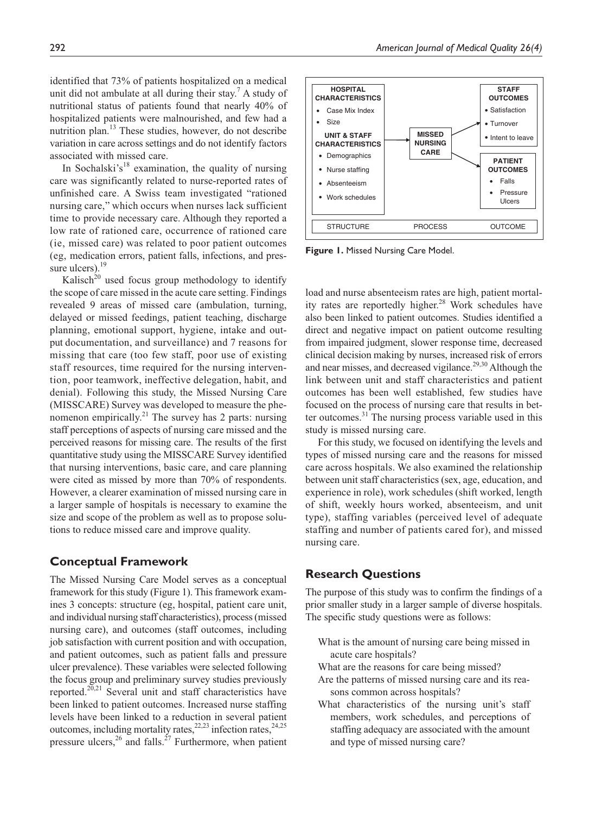identified that 73% of patients hospitalized on a medical unit did not ambulate at all during their stay.<sup>7</sup> A study of nutritional status of patients found that nearly 40% of hospitalized patients were malnourished, and few had a nutrition plan.<sup>13</sup> These studies, however, do not describe variation in care across settings and do not identify factors associated with missed care.

In Sochalski's<sup>18</sup> examination, the quality of nursing care was significantly related to nurse-reported rates of unfinished care. A Swiss team investigated "rationed nursing care," which occurs when nurses lack sufficient time to provide necessary care. Although they reported a low rate of rationed care, occurrence of rationed care (ie, missed care) was related to poor patient outcomes (eg, medication errors, patient falls, infections, and pressure ulcers). $19$ 

Kalisch<sup>20</sup> used focus group methodology to identify the scope of care missed in the acute care setting. Findings revealed 9 areas of missed care (ambulation, turning, delayed or missed feedings, patient teaching, discharge planning, emotional support, hygiene, intake and output documentation, and surveillance) and 7 reasons for missing that care (too few staff, poor use of existing staff resources, time required for the nursing intervention, poor teamwork, ineffective delegation, habit, and denial). Following this study, the Missed Nursing Care (MISSCARE) Survey was developed to measure the phenomenon empirically.<sup>21</sup> The survey has 2 parts: nursing staff perceptions of aspects of nursing care missed and the perceived reasons for missing care. The results of the first quantitative study using the MISSCARE Survey identified that nursing interventions, basic care, and care planning were cited as missed by more than 70% of respondents. However, a clearer examination of missed nursing care in a larger sample of hospitals is necessary to examine the size and scope of the problem as well as to propose solutions to reduce missed care and improve quality.

## **Conceptual Framework**

The Missed Nursing Care Model serves as a conceptual framework for this study (Figure 1). This framework examines 3 concepts: structure (eg, hospital, patient care unit, and individual nursing staff characteristics), process (missed nursing care), and outcomes (staff outcomes, including job satisfaction with current position and with occupation, and patient outcomes, such as patient falls and pressure ulcer prevalence). These variables were selected following the focus group and preliminary survey studies previously reported.<sup>20,21</sup> Several unit and staff characteristics have been linked to patient outcomes. Increased nurse staffing levels have been linked to a reduction in several patient outcomes, including mortality rates,  $22,23$  infection rates,  $24,25$ pressure ulcers,  $26$  and falls.<sup>27</sup> Furthermore, when patient



**Figure 1.** Missed Nursing Care Model.

load and nurse absenteeism rates are high, patient mortality rates are reportedly higher.<sup>28</sup> Work schedules have also been linked to patient outcomes. Studies identified a direct and negative impact on patient outcome resulting from impaired judgment, slower response time, decreased clinical decision making by nurses, increased risk of errors and near misses, and decreased vigilance.<sup>29,30</sup> Although the link between unit and staff characteristics and patient outcomes has been well established, few studies have focused on the process of nursing care that results in better outcomes.<sup>31</sup> The nursing process variable used in this study is missed nursing care.

For this study, we focused on identifying the levels and types of missed nursing care and the reasons for missed care across hospitals. We also examined the relationship between unit staff characteristics (sex, age, education, and experience in role), work schedules (shift worked, length of shift, weekly hours worked, absenteeism, and unit type), staffing variables (perceived level of adequate staffing and number of patients cared for), and missed nursing care.

## **Research Questions**

The purpose of this study was to confirm the findings of a prior smaller study in a larger sample of diverse hospitals. The specific study questions were as follows:

- What is the amount of nursing care being missed in acute care hospitals?
- What are the reasons for care being missed?
- Are the patterns of missed nursing care and its reasons common across hospitals?
- What characteristics of the nursing unit's staff members, work schedules, and perceptions of staffing adequacy are associated with the amount and type of missed nursing care?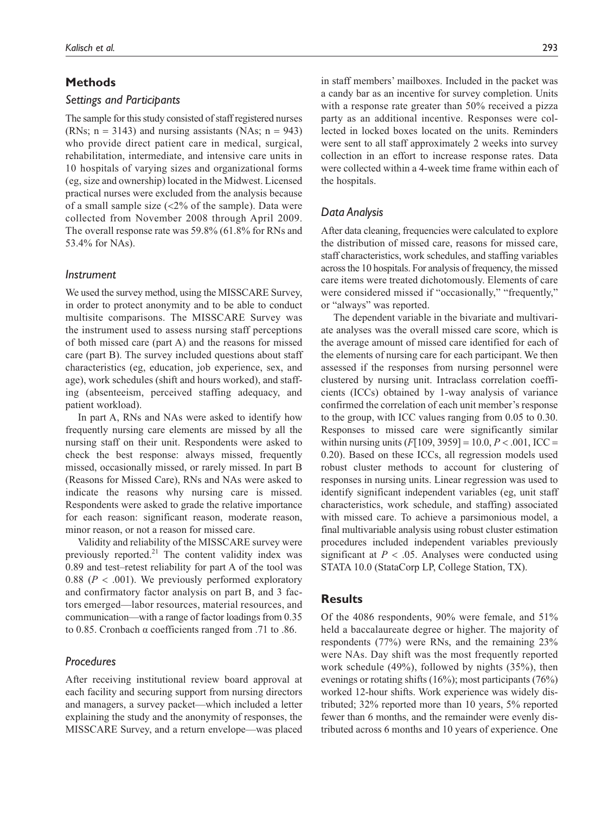## **Methods**

## *Settings and Participants*

The sample for this study consisted of staff registered nurses (RNs;  $n = 3143$ ) and nursing assistants (NAs;  $n = 943$ ) who provide direct patient care in medical, surgical, rehabilitation, intermediate, and intensive care units in 10 hospitals of varying sizes and organizational forms (eg, size and ownership) located in the Midwest. Licensed practical nurses were excluded from the analysis because of a small sample size (<2% of the sample). Data were collected from November 2008 through April 2009. The overall response rate was 59.8% (61.8% for RNs and 53.4% for NAs).

## *Instrument*

We used the survey method, using the MISSCARE Survey, in order to protect anonymity and to be able to conduct multisite comparisons. The MISSCARE Survey was the instrument used to assess nursing staff perceptions of both missed care (part A) and the reasons for missed care (part B). The survey included questions about staff characteristics (eg, education, job experience, sex, and age), work schedules (shift and hours worked), and staffing (absenteeism, perceived staffing adequacy, and patient workload).

In part A, RNs and NAs were asked to identify how frequently nursing care elements are missed by all the nursing staff on their unit. Respondents were asked to check the best response: always missed, frequently missed, occasionally missed, or rarely missed. In part B (Reasons for Missed Care), RNs and NAs were asked to indicate the reasons why nursing care is missed. Respondents were asked to grade the relative importance for each reason: significant reason, moderate reason, minor reason, or not a reason for missed care.

Validity and reliability of the MISSCARE survey were previously reported. $21$  The content validity index was 0.89 and test–retest reliability for part A of the tool was 0.88 (*P* < .001). We previously performed exploratory and confirmatory factor analysis on part B, and 3 factors emerged—labor resources, material resources, and communication—with a range of factor loadings from 0.35 to 0.85. Cronbach α coefficients ranged from .71 to .86.

## *Procedures*

After receiving institutional review board approval at each facility and securing support from nursing directors and managers, a survey packet—which included a letter explaining the study and the anonymity of responses, the MISSCARE Survey, and a return envelope—was placed

in staff members' mailboxes. Included in the packet was a candy bar as an incentive for survey completion. Units with a response rate greater than 50% received a pizza party as an additional incentive. Responses were collected in locked boxes located on the units. Reminders were sent to all staff approximately 2 weeks into survey collection in an effort to increase response rates. Data were collected within a 4-week time frame within each of the hospitals.

## *Data Analysis*

After data cleaning, frequencies were calculated to explore the distribution of missed care, reasons for missed care, staff characteristics, work schedules, and staffing variables across the 10 hospitals. For analysis of frequency, the missed care items were treated dichotomously. Elements of care were considered missed if "occasionally," "frequently," or "always" was reported.

The dependent variable in the bivariate and multivariate analyses was the overall missed care score, which is the average amount of missed care identified for each of the elements of nursing care for each participant. We then assessed if the responses from nursing personnel were clustered by nursing unit. Intraclass correlation coefficients (ICCs) obtained by 1-way analysis of variance confirmed the correlation of each unit member's response to the group, with ICC values ranging from 0.05 to 0.30. Responses to missed care were significantly similar within nursing units  $(F[109, 3959] = 10.0, P < .001, ICC =$ 0.20). Based on these ICCs, all regression models used robust cluster methods to account for clustering of responses in nursing units. Linear regression was used to identify significant independent variables (eg, unit staff characteristics, work schedule, and staffing) associated with missed care. To achieve a parsimonious model, a final multivariable analysis using robust cluster estimation procedures included independent variables previously significant at  $P < .05$ . Analyses were conducted using STATA 10.0 (StataCorp LP, College Station, TX).

## **Results**

Of the 4086 respondents, 90% were female, and 51% held a baccalaureate degree or higher. The majority of respondents (77%) were RNs, and the remaining 23% were NAs. Day shift was the most frequently reported work schedule (49%), followed by nights (35%), then evenings or rotating shifts (16%); most participants (76%) worked 12-hour shifts. Work experience was widely distributed; 32% reported more than 10 years, 5% reported fewer than 6 months, and the remainder were evenly distributed across 6 months and 10 years of experience. One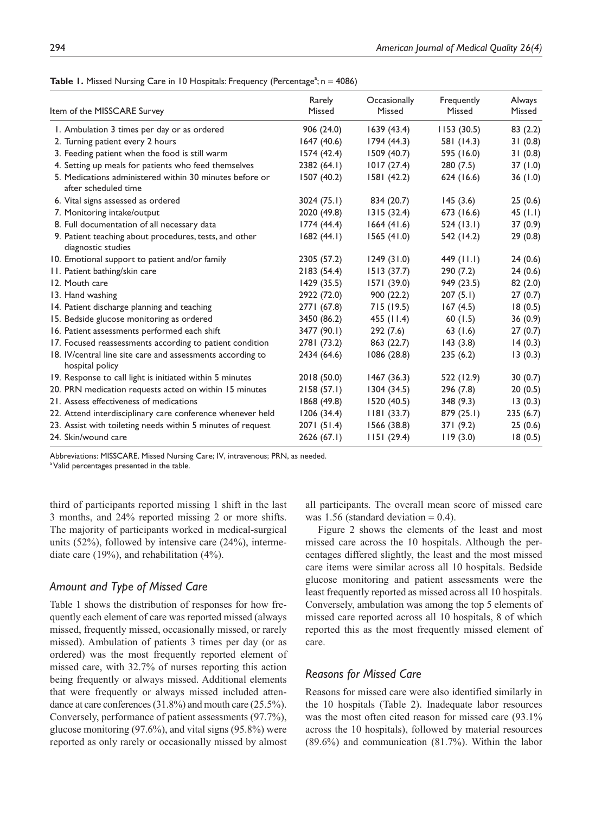|  |  |  |  |  |  |  | <b>Table 1.</b> Missed Nursing Care in 10 Hospitals: Frequency (Percentage <sup>a</sup> ; $n = 4086$ ) |  |
|--|--|--|--|--|--|--|--------------------------------------------------------------------------------------------------------|--|
|--|--|--|--|--|--|--|--------------------------------------------------------------------------------------------------------|--|

| Item of the MISSCARE Survey                                                     | Rarely<br>Missed | Occasionally<br>Missed | Frequently<br>Missed | Always<br>Missed |
|---------------------------------------------------------------------------------|------------------|------------------------|----------------------|------------------|
| 1. Ambulation 3 times per day or as ordered                                     | 906 (24.0)       | 1639(43.4)             | 1153(30.5)           | 83(2.2)          |
| 2. Turning patient every 2 hours                                                | 1647(40.6)       | 1794(44.3)             | 581 (14.3)           | 31(0.8)          |
| 3. Feeding patient when the food is still warm                                  | 1574 (42.4)      | 1509 (40.7)            | 595 (16.0)           | 31(0.8)          |
| 4. Setting up meals for patients who feed themselves                            | 2382(64.1)       | 1017(27.4)             | 280(7.5)             | 37(1.0)          |
| 5. Medications administered within 30 minutes before or<br>after scheduled time | 1507 (40.2)      | 1581 (42.2)            | 624 (16.6)           | 36(1.0)          |
| 6. Vital signs assessed as ordered                                              | 3024 (75.1)      | 834 (20.7)             | 145(3.6)             | 25(0.6)          |
| 7. Monitoring intake/output                                                     | 2020 (49.8)      | 1315(32.4)             | 673 (16.6)           | 45 $(1.1)$       |
| 8. Full documentation of all necessary data                                     | 1774(44.4)       | 1664(41.6)             | 524(13.1)            | 37(0.9)          |
| 9. Patient teaching about procedures, tests, and other<br>diagnostic studies    | 1682(44.1)       | 1565(41.0)             | 542 (14.2)           | 29(0.8)          |
| 10. Emotional support to patient and/or family                                  | 2305 (57.2)      | 1249(31.0)             | 449 $(11.1)$         | 24(0.6)          |
| 11. Patient bathing/skin care                                                   | 2183(54.4)       | 1513(37.7)             | 290(7.2)             | 24(0.6)          |
| 12. Mouth care                                                                  | 1429 (35.5)      | 1571 (39.0)            | 949 (23.5)           | 82 (2.0)         |
| 13. Hand washing                                                                | 2922 (72.0)      | 900(22.2)              | 207(5.1)             | 27(0.7)          |
| 14. Patient discharge planning and teaching                                     | 2771 (67.8)      | 715 (19.5)             | 167(4.5)             | 18(0.5)          |
| 15. Bedside glucose monitoring as ordered                                       | 3450 (86.2)      | 455 (11.4)             | 60 $(1.5)$           | 36(0.9)          |
| 16. Patient assessments performed each shift                                    | 3477 (90.1)      | 292(7.6)               | 63(1.6)              | 27(0.7)          |
| 17. Focused reassessments according to patient condition                        | 2781 (73.2)      | 863 (22.7)             | 143(3.8)             | 14(0.3)          |
| 18. IV/central line site care and assessments according to<br>hospital policy   | 2434 (64.6)      | 1086 (28.8)            | 235(6.2)             | 13(0.3)          |
| 19. Response to call light is initiated within 5 minutes                        | 2018 (50.0)      | 1467(36.3)             | 522 (12.9)           | 30(0.7)          |
| 20. PRN medication requests acted on within 15 minutes                          | 2158(57.1)       | 1304 (34.5)            | 296 (7.8)            | 20(0.5)          |
| 21. Assess effectiveness of medications                                         | 1868 (49.8)      | 1520 (40.5)            | 348 (9.3)            | 13(0.3)          |
| 22. Attend interdisciplinary care conference whenever held                      | 1206(34.4)       | 1181(33.7)             | 879 (25.1)           | 235(6.7)         |
| 23. Assist with toileting needs within 5 minutes of request                     | 2071 (51.4)      | 1566 (38.8)            | 371 (9.2)            | 25(0.6)          |
| 24. Skin/wound care                                                             | 2626 (67.1)      | 1151(29.4)             | 119(3.0)             | 18(0.5)          |

Abbreviations: MISSCARE, Missed Nursing Care; IV, intravenous; PRN, as needed.

<sup>a</sup> Valid percentages presented in the table.

third of participants reported missing 1 shift in the last 3 months, and 24% reported missing 2 or more shifts. The majority of participants worked in medical-surgical units (52%), followed by intensive care (24%), intermediate care (19%), and rehabilitation (4%).

# *Amount and Type of Missed Care*

Table 1 shows the distribution of responses for how frequently each element of care was reported missed (always missed, frequently missed, occasionally missed, or rarely missed). Ambulation of patients 3 times per day (or as ordered) was the most frequently reported element of missed care, with 32.7% of nurses reporting this action being frequently or always missed. Additional elements that were frequently or always missed included attendance at care conferences (31.8%) and mouth care (25.5%). Conversely, performance of patient assessments (97.7%), glucose monitoring (97.6%), and vital signs (95.8%) were reported as only rarely or occasionally missed by almost all participants. The overall mean score of missed care was 1.56 (standard deviation  $= 0.4$ ).

Figure 2 shows the elements of the least and most missed care across the 10 hospitals. Although the percentages differed slightly, the least and the most missed care items were similar across all 10 hospitals. Bedside glucose monitoring and patient assessments were the least frequently reported as missed across all 10 hospitals. Conversely, ambulation was among the top 5 elements of missed care reported across all 10 hospitals, 8 of which reported this as the most frequently missed element of care.

## *Reasons for Missed Care*

Reasons for missed care were also identified similarly in the 10 hospitals (Table 2). Inadequate labor resources was the most often cited reason for missed care (93.1% across the 10 hospitals), followed by material resources (89.6%) and communication (81.7%). Within the labor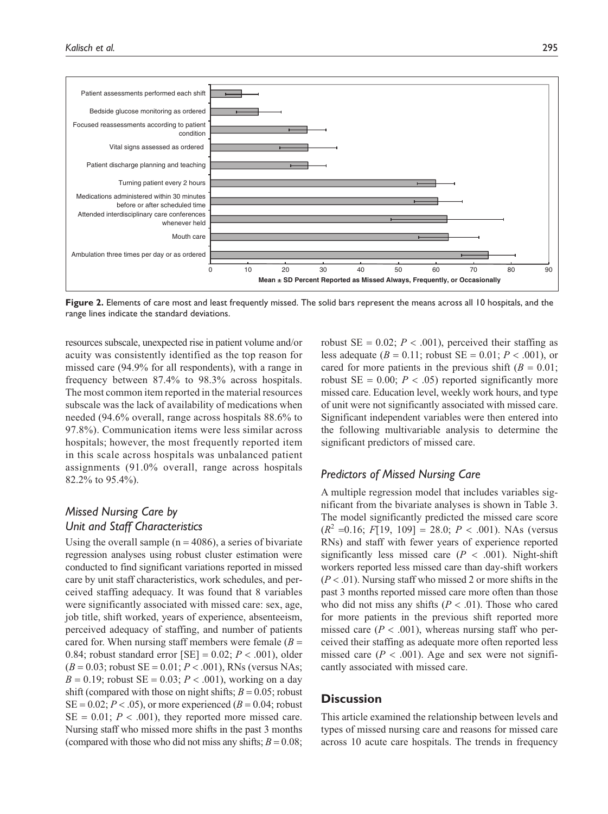

**Figure 2.** Elements of care most and least frequently missed. The solid bars represent the means across all 10 hospitals, and the range lines indicate the standard deviations.

resources subscale, unexpected rise in patient volume and/or acuity was consistently identified as the top reason for missed care (94.9% for all respondents), with a range in frequency between 87.4% to 98.3% across hospitals. The most common item reported in the material resources subscale was the lack of availability of medications when needed (94.6% overall, range across hospitals 88.6% to 97.8%). Communication items were less similar across hospitals; however, the most frequently reported item in this scale across hospitals was unbalanced patient assignments (91.0% overall, range across hospitals 82.2% to 95.4%).

# *Missed Nursing Care by Unit and Staff Characteristics*

Using the overall sample ( $n = 4086$ ), a series of bivariate regression analyses using robust cluster estimation were conducted to find significant variations reported in missed care by unit staff characteristics, work schedules, and perceived staffing adequacy. It was found that 8 variables were significantly associated with missed care: sex, age, job title, shift worked, years of experience, absenteeism, perceived adequacy of staffing, and number of patients cared for. When nursing staff members were female  $(B =$ 0.84; robust standard error  $[SE] = 0.02$ ;  $P < .001$ ), older  $(B = 0.03;$  robust  $SE = 0.01; P < .001$ ), RNs (versus NAs;  $B = 0.19$ ; robust  $SE = 0.03$ ;  $P < .001$ ), working on a day shift (compared with those on night shifts;  $B = 0.05$ ; robust  $SE = 0.02$ ;  $P < .05$ ), or more experienced ( $B = 0.04$ ; robust  $SE = 0.01$ ;  $P < .001$ ), they reported more missed care. Nursing staff who missed more shifts in the past 3 months (compared with those who did not miss any shifts;  $B = 0.08$ ; robust  $SE = 0.02$ ;  $P < .001$ ), perceived their staffing as less adequate ( $B = 0.11$ ; robust  $SE = 0.01$ ;  $P < .001$ ), or cared for more patients in the previous shift  $(B = 0.01)$ ; robust  $SE = 0.00$ ;  $P < .05$ ) reported significantly more missed care. Education level, weekly work hours, and type of unit were not significantly associated with missed care. Significant independent variables were then entered into the following multivariable analysis to determine the significant predictors of missed care.

## *Predictors of Missed Nursing Care*

A multiple regression model that includes variables significant from the bivariate analyses is shown in Table 3. The model significantly predicted the missed care score  $(R^2 = 0.16; F[19, 109] = 28.0; P < .001)$ . NAs (versus RNs) and staff with fewer years of experience reported significantly less missed care  $(P < .001)$ . Night-shift workers reported less missed care than day-shift workers  $(P < .01)$ . Nursing staff who missed 2 or more shifts in the past 3 months reported missed care more often than those who did not miss any shifts  $(P < .01)$ . Those who cared for more patients in the previous shift reported more missed care  $(P < .001)$ , whereas nursing staff who perceived their staffing as adequate more often reported less missed care  $(P < .001)$ . Age and sex were not significantly associated with missed care.

## **Discussion**

This article examined the relationship between levels and types of missed nursing care and reasons for missed care across 10 acute care hospitals. The trends in frequency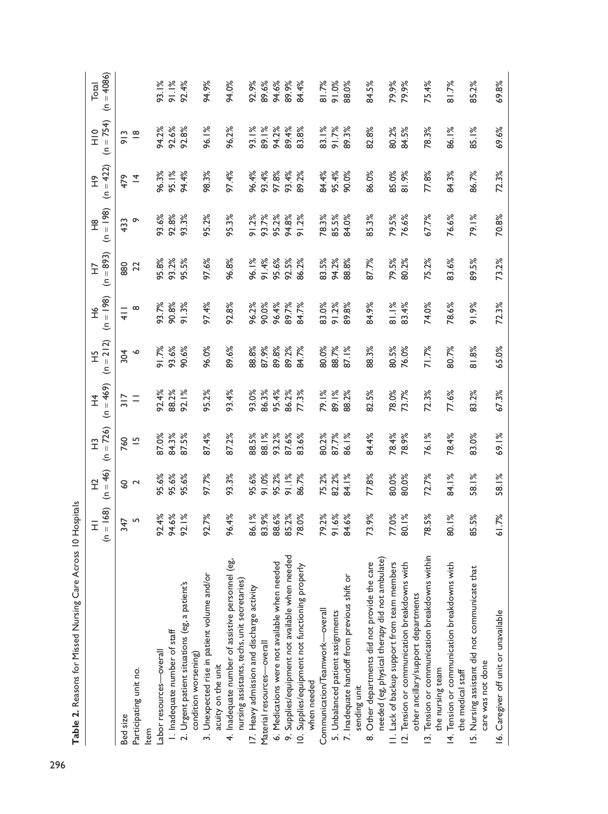|                                                                                                  | $= 168$<br>Ξ   | $(n = 46)$<br>오 | $(n = 726)$<br>$\widetilde{\mathbb{E}}$ | $(n = 469)$<br>子<br>工 | $(n = 212)$<br>엎 | $(n = 198)$<br>오<br>エ | $(n = 893)$<br>Ë | $(n = 198)$<br>$\frac{8}{1}$ | $(n = 422)$<br>$\frac{\infty}{\infty}$ | $(n = 754)$<br>$rac{1}{1}$ | $(n = 4086)$<br>Total |
|--------------------------------------------------------------------------------------------------|----------------|-----------------|-----------------------------------------|-----------------------|------------------|-----------------------|------------------|------------------------------|----------------------------------------|----------------------------|-----------------------|
| Bed size                                                                                         | 347            | <b>S</b>        | 760                                     | 317                   | 304              | $\frac{1}{4}$         | 880              | 433                          | 479                                    | 913                        |                       |
| Participating unit no.                                                                           | $\overline{5}$ | $\sim$          | $\overline{5}$                          | $\equiv$              | $\circ$          | $\infty$              | 22               | $\sim$                       | $\overline{4}$                         | $\frac{\infty}{\infty}$    |                       |
| Item                                                                                             |                |                 |                                         |                       |                  |                       |                  |                              |                                        |                            |                       |
| Labor resources-overall                                                                          | 92.4%          | 95.6%           | 87.0%                                   | 92.4%                 | 91.7%            | 93.7%                 | 95.8%            | 93.6%                        | 96.3%                                  | 94.2%                      | 93.1%                 |
| 1. Inadequate number of staff                                                                    | 94.6%          | 95.6%           | 84.3%                                   | 88.2%                 | 93.6%            | 90.8%                 | 93.2%            | 92.8%                        | 95.1%                                  | 92.6%                      | 91.1%                 |
| 2. Urgent patient situations (eg, a patient's<br>condition worsening)                            | 92.1%          | 95.6%           | 87.5%                                   | 92.1%                 | 90.6%            | 91.3%                 | 95.5%            | 93.3%                        | 94.4%                                  | 92.8%                      | 92.4%                 |
| 3. Unexpected rise in patient volume and/or<br>acuity on the unit                                | 92.7%          | 97.7%           | 87.4%                                   | 95.2%                 | 96.0%            | 97.4%                 | 97.6%            | 95.2%                        | 98.3%                                  | 96.1%                      | 94.9%                 |
| 4. Inadequate number of assistive personnel (eg,<br>nursing assistants, techs, unit secretaries) | 96.4%          | 93.3%           | 87.2%                                   | 93.4%                 | 89.6%            | 92.8%                 | 96.8%            | 95.3%                        | 97.4%                                  | 96.2%                      | 94.0%                 |
| 17. Heavy admission and discharge activity                                                       | 86.1%          | 95.6%           | 88.5%                                   | 93.0%                 | 88.8%            | 96.2%                 | 96.1%            | 91.2%                        | 96.4%                                  | 93.1%                      | 92.9%                 |
| Material resources-overall                                                                       | 83.9%          | 91.0%           | 88.1%                                   | 86.3%                 | 87.9%            | 90.0%                 | 91.4%            | 93.7%                        | 93.4%                                  | 89.1%                      | 89.6%                 |
| 6. Medications were not available when needed                                                    | 88.6%          | 95.2%           | 93.2%                                   | 95.4%                 | 89.8%            | 96.4%                 | 95.6%            | 95.2%                        | 97.8%                                  | 94.2%                      | 94.6%                 |
| 9. Supplies/equipment not available when needed                                                  | 85.2%          | 91.1%           | 87.6%                                   | 86.2%                 | 89.2%            | 89.7%                 | 92.5%            | 94.8%                        | 93.4%                                  | 89.4%                      | 89.9%                 |
| 10. Supplies/equipment not functioning properly<br>when needed                                   | 78.0%          | 86.7%           | 83.6%                                   | 77.3%                 | 84.7%            | 84.7%                 | 86.2%            | 91.2%                        | 89.2%                                  | 83.8%                      | 84.4%                 |
| Communication/Teamwork--overall                                                                  | 79.2%          | 75.2%           | 80.2%                                   | 79.1%                 | 80.0%            | 83.0%                 | 83.5%            | 78.3%                        | 84.4%                                  | 83.1%                      | 81.7%                 |
| 5. Unbalanced patient assignments                                                                | 91.6%          | 82.2%           | 87.7%                                   | 89.1%                 | 88.7%            | 91.2%                 | 94.2%            | 85.5%                        | 95.4%                                  | 91.7%                      | 91.0%                 |
| 7. Inadequate handoff from previous shift or                                                     | 84.6%          | 84.1%           | 86.1%                                   | 88.2%                 | 87.1%            | 89.8%                 | 88.8%            | 84.0%                        | 90.0%                                  | 89.3%                      | 88.0%                 |
| sending unit                                                                                     |                |                 |                                         |                       |                  |                       |                  |                              |                                        |                            |                       |
| needed (eg, physical therapy did not ambulate)<br>8. Other departments did not provide the care  | 73.9%          | 77.8%           | 84.4%                                   | 82.5%                 | 88.3%            | 84.9%                 | 87.7%            | 85.3%                        | 86.0%                                  | 82.8%                      | 84.5%                 |
| 11. Lack of backup support from team members                                                     | 77.0%          | 80.0%           | 78.4%                                   | 78.0%                 | 80.5%            | 81.1%                 | 79.5%            | 79.5%                        | 85.0%                                  | 80.2%                      | 79.9%                 |
| 12. Tension or communication breakdowns with<br>other ancillary/support departments              | 80.1%          | 80.0%           | 78.9%                                   | 13.7%                 | 76.0%            | 83.4%                 | 80.2%            | 76.6%                        | 81.9%                                  | 84.5%                      | 79.9%                 |
| 13. Tension or communication breakdowns within<br>the nursing team                               | 78.5%          | 72.7%           | 76.1%                                   | 72.3%                 | 71.7%            | 74.0%                 | 75.2%            | 67.7%                        | 77.8%                                  | 78.3%                      | 75.4%                 |
| 14. Tension or communication breakdowns with<br>the medical staff                                | 80.1%          | 84.1%           | 78.4%                                   | 77.6%                 | 80.7%            | 78.6%                 | 83.6%            | 76.6%                        | 84.3%                                  | 86.1%                      | 81.7%                 |
| 15. Nursing assistant did not communicate that<br>care was not done                              | 85.5%          | 58.1%           | 83.0%                                   | 83.2%                 | 81.8%            | 91.9%                 | 89.5%            | 79.1%                        | 86.7%                                  | 85.1%                      | 85.2%                 |
| 16. Caregiver off unit or unavailable                                                            | 61.7%          | 58.1%           | 69.1%                                   | 67.3%                 | 65.0%            | 72.3%                 | 73.2%            | 70.8%                        | 72.3%                                  | 69.6%                      | 69.8%                 |

Table 2. Reasons for Missed Nursing Care Across 10 Hospitals **Table 2.** Reasons for Missed Nursing Care Across 10 Hospitals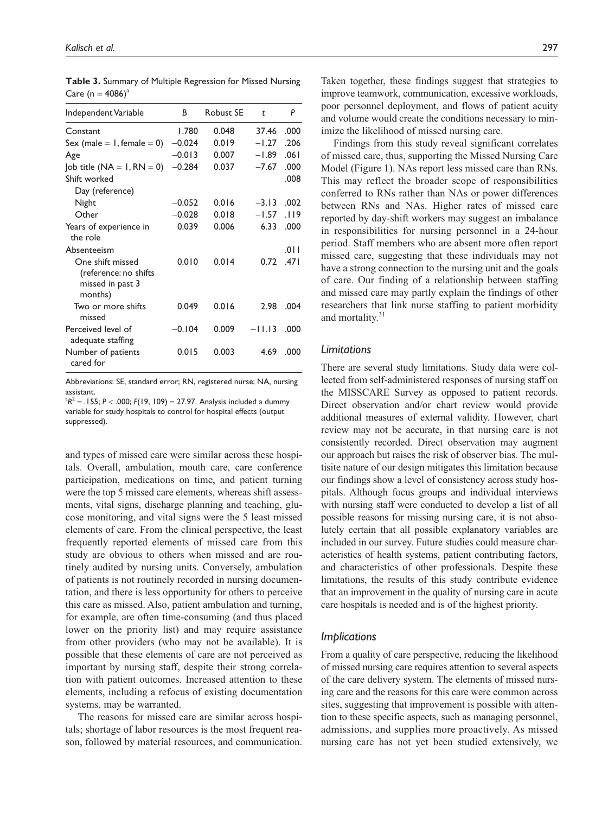| Independent Variable             | B        | <b>Robust SE</b> | t        | P    |
|----------------------------------|----------|------------------|----------|------|
| Constant                         | 1.780    | 0.048            | 37.46    | .000 |
| Sex (male $= 1$ , female $= 0$ ) | $-0.024$ | 0.019            | $-1.27$  | .206 |
| Age                              | $-0.013$ | 0.007            | $-1.89$  | .061 |
| Job title $(NA = I, RN = 0)$     | $-0.284$ | 0.037            | $-7.67$  | .000 |
| Shift worked                     |          |                  |          | .008 |
| Day (reference)                  |          |                  |          |      |
| Night                            | $-0.052$ | 0.016            | $-3.13$  | .002 |
| Other                            | $-0.028$ | 0.018            | $-1.57$  | .119 |
| Years of experience in           | 0.039    | 0.006            | 6.33     | .000 |
| the role                         |          |                  |          |      |
| Absenteeism                      |          |                  |          | .011 |
| One shift missed                 | 0.010    | 0.014            | 0.72     | .471 |
| (reference: no shifts            |          |                  |          |      |
| missed in past 3                 |          |                  |          |      |
| months)                          |          |                  |          |      |
| Two or more shifts<br>missed     | 0.049    | 0.016            | 2.98     | .004 |
| Perceived level of               | $-0.104$ | 0.009            | $-11.13$ | .000 |
| adequate staffing                |          |                  |          |      |
| Number of patients<br>cared for  | 0.015    | 0.003            | 4.69     | .000 |

**Table 3.** Summary of Multiple Regression for Missed Nursing Care ( $n = 4086$ )<sup>a</sup>

Abbreviations: SE, standard error; RN, registered nurse; NA, nursing assistant.

 ${}^{a}R^{2} = .155; P < .000; F(19, 109) = 27.97$ . Analysis included a dummy variable for study hospitals to control for hospital effects (output suppressed).

and types of missed care were similar across these hospitals. Overall, ambulation, mouth care, care conference participation, medications on time, and patient turning were the top 5 missed care elements, whereas shift assessments, vital signs, discharge planning and teaching, glucose monitoring, and vital signs were the 5 least missed elements of care. From the clinical perspective, the least frequently reported elements of missed care from this study are obvious to others when missed and are routinely audited by nursing units. Conversely, ambulation of patients is not routinely recorded in nursing documentation, and there is less opportunity for others to perceive this care as missed. Also, patient ambulation and turning, for example, are often time-consuming (and thus placed lower on the priority list) and may require assistance from other providers (who may not be available). It is possible that these elements of care are not perceived as important by nursing staff, despite their strong correlation with patient outcomes. Increased attention to these elements, including a refocus of existing documentation systems, may be warranted.

The reasons for missed care are similar across hospitals; shortage of labor resources is the most frequent reason, followed by material resources, and communication.

Taken together, these findings suggest that strategies to improve teamwork, communication, excessive workloads, poor personnel deployment, and flows of patient acuity and volume would create the conditions necessary to minimize the likelihood of missed nursing care.

Findings from this study reveal significant correlates of missed care, thus, supporting the Missed Nursing Care Model (Figure 1). NAs report less missed care than RNs. This may reflect the broader scope of responsibilities conferred to RNs rather than NAs or power differences between RNs and NAs. Higher rates of missed care reported by day-shift workers may suggest an imbalance in responsibilities for nursing personnel in a 24-hour period. Staff members who are absent more often report missed care, suggesting that these individuals may not have a strong connection to the nursing unit and the goals of care. Our finding of a relationship between staffing and missed care may partly explain the findings of other researchers that link nurse staffing to patient morbidity and mortality.<sup>31</sup>

#### *Limitations*

There are several study limitations. Study data were collected from self-administered responses of nursing staff on the MISSCARE Survey as opposed to patient records. Direct observation and/or chart review would provide additional measures of external validity. However, chart review may not be accurate, in that nursing care is not consistently recorded. Direct observation may augment our approach but raises the risk of observer bias. The multisite nature of our design mitigates this limitation because our findings show a level of consistency across study hospitals. Although focus groups and individual interviews with nursing staff were conducted to develop a list of all possible reasons for missing nursing care, it is not absolutely certain that all possible explanatory variables are included in our survey. Future studies could measure characteristics of health systems, patient contributing factors, and characteristics of other professionals. Despite these limitations, the results of this study contribute evidence that an improvement in the quality of nursing care in acute care hospitals is needed and is of the highest priority.

## *Implications*

From a quality of care perspective, reducing the likelihood of missed nursing care requires attention to several aspects of the care delivery system. The elements of missed nursing care and the reasons for this care were common across sites, suggesting that improvement is possible with attention to these specific aspects, such as managing personnel, admissions, and supplies more proactively. As missed nursing care has not yet been studied extensively, we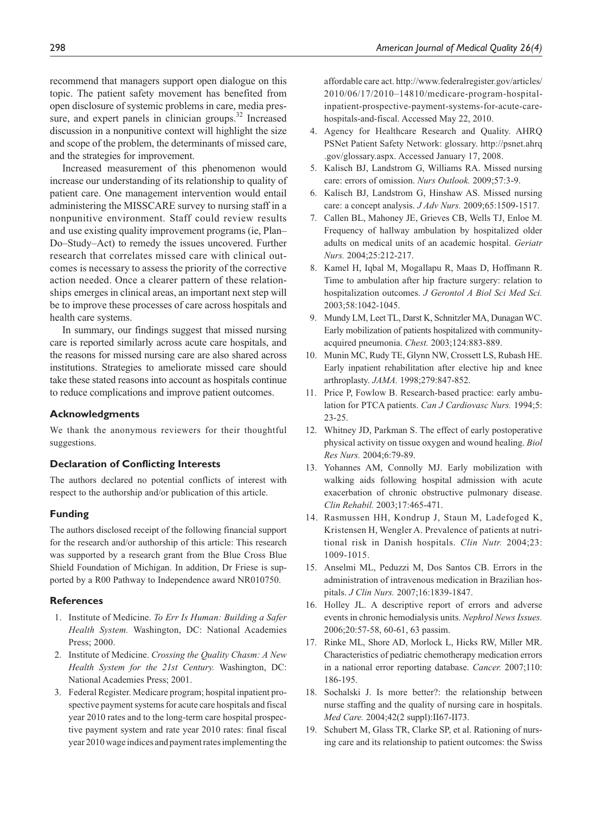recommend that managers support open dialogue on this topic. The patient safety movement has benefited from open disclosure of systemic problems in care, media pressure, and expert panels in clinician groups. $32$  Increased discussion in a nonpunitive context will highlight the size and scope of the problem, the determinants of missed care, and the strategies for improvement.

Increased measurement of this phenomenon would increase our understanding of its relationship to quality of patient care. One management intervention would entail administering the MISSCARE survey to nursing staff in a nonpunitive environment. Staff could review results and use existing quality improvement programs (ie, Plan– Do–Study–Act) to remedy the issues uncovered. Further research that correlates missed care with clinical outcomes is necessary to assess the priority of the corrective action needed. Once a clearer pattern of these relationships emerges in clinical areas, an important next step will be to improve these processes of care across hospitals and health care systems.

In summary, our findings suggest that missed nursing care is reported similarly across acute care hospitals, and the reasons for missed nursing care are also shared across institutions. Strategies to ameliorate missed care should take these stated reasons into account as hospitals continue to reduce complications and improve patient outcomes.

#### **Acknowledgments**

We thank the anonymous reviewers for their thoughtful suggestions.

## **Declaration of Conflicting Interests**

The authors declared no potential conflicts of interest with respect to the authorship and/or publication of this article.

## **Funding**

The authors disclosed receipt of the following financial support for the research and/or authorship of this article: This research was supported by a research grant from the Blue Cross Blue Shield Foundation of Michigan. In addition, Dr Friese is supported by a R00 Pathway to Independence award NR010750.

#### **References**

- 1. Institute of Medicine. *To Err Is Human: Building a Safer Health System.* Washington, DC: National Academies Press; 2000.
- 2. Institute of Medicine. *Crossing the Quality Chasm: A New Health System for the 21st Century.* Washington, DC: National Academies Press; 2001.
- 3. Federal Register. Medicare program; hospital inpatient prospective payment systems for acute care hospitals and fiscal year 2010 rates and to the long-term care hospital prospective payment system and rate year 2010 rates: final fiscal year 2010 wage indices and payment rates implementing the

affordable care act. http://www.federalregister.gov/articles/ 2010/06/17/2010–14810/medicare-program-hospitalinpatient-prospective-payment-systems-for-acute-carehospitals-and-fiscal. Accessed May 22, 2010.

- 4. Agency for Healthcare Research and Quality. AHRQ PSNet Patient Safety Network: glossary. http://psnet.ahrq .gov/glossary.aspx. Accessed January 17, 2008.
- 5. Kalisch BJ, Landstrom G, Williams RA. Missed nursing care: errors of omission. *Nurs Outlook.* 2009;57:3-9.
- 6. Kalisch BJ, Landstrom G, Hinshaw AS. Missed nursing care: a concept analysis. *J Adv Nurs.* 2009;65:1509-1517.
- 7. Callen BL, Mahoney JE, Grieves CB, Wells TJ, Enloe M. Frequency of hallway ambulation by hospitalized older adults on medical units of an academic hospital. *Geriatr Nurs.* 2004;25:212-217.
- 8. Kamel H, Iqbal M, Mogallapu R, Maas D, Hoffmann R. Time to ambulation after hip fracture surgery: relation to hospitalization outcomes. *J Gerontol A Biol Sci Med Sci.* 2003;58:1042-1045.
- 9. Mundy LM, Leet TL, Darst K, Schnitzler MA, Dunagan WC. Early mobilization of patients hospitalized with communityacquired pneumonia. *Chest.* 2003;124:883-889.
- 10. Munin MC, Rudy TE, Glynn NW, Crossett LS, Rubash HE. Early inpatient rehabilitation after elective hip and knee arthroplasty. *JAMA.* 1998;279:847-852.
- 11. Price P, Fowlow B. Research-based practice: early ambulation for PTCA patients. *Can J Cardiovasc Nurs.* 1994;5: 23-25.
- 12. Whitney JD, Parkman S. The effect of early postoperative physical activity on tissue oxygen and wound healing. *Biol Res Nurs.* 2004;6:79-89.
- 13. Yohannes AM, Connolly MJ. Early mobilization with walking aids following hospital admission with acute exacerbation of chronic obstructive pulmonary disease. *Clin Rehabil.* 2003;17:465-471.
- 14. Rasmussen HH, Kondrup J, Staun M, Ladefoged K, Kristensen H, Wengler A. Prevalence of patients at nutritional risk in Danish hospitals. *Clin Nutr.* 2004;23: 1009-1015.
- 15. Anselmi ML, Peduzzi M, Dos Santos CB. Errors in the administration of intravenous medication in Brazilian hospitals. *J Clin Nurs.* 2007;16:1839-1847.
- 16. Holley JL. A descriptive report of errors and adverse events in chronic hemodialysis units. *Nephrol News Issues.* 2006;20:57-58, 60-61, 63 passim.
- 17. Rinke ML, Shore AD, Morlock L, Hicks RW, Miller MR. Characteristics of pediatric chemotherapy medication errors in a national error reporting database. *Cancer.* 2007;110: 186-195.
- 18. Sochalski J. Is more better?: the relationship between nurse staffing and the quality of nursing care in hospitals. *Med Care.* 2004;42(2 suppl):II67-II73.
- 19. Schubert M, Glass TR, Clarke SP, et al. Rationing of nursing care and its relationship to patient outcomes: the Swiss